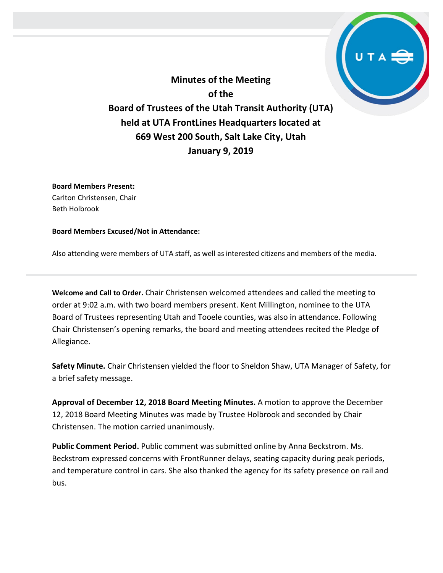**Minutes of the Meeting of the Board of Trustees of the Utah Transit Authority (UTA) held at UTA FrontLines Headquarters located at 669 West 200 South, Salt Lake City, Utah January 9, 2019**

**Board Members Present:** Carlton Christensen, Chair Beth Holbrook

**Board Members Excused/Not in Attendance:** 

Also attending were members of UTA staff, as well as interested citizens and members of the media.

**Welcome and Call to Order.** Chair Christensen welcomed attendees and called the meeting to order at 9:02 a.m. with two board members present. Kent Millington, nominee to the UTA Board of Trustees representing Utah and Tooele counties, was also in attendance. Following Chair Christensen's opening remarks, the board and meeting attendees recited the Pledge of Allegiance.

**Safety Minute.** Chair Christensen yielded the floor to Sheldon Shaw, UTA Manager of Safety, for a brief safety message.

**Approval of December 12, 2018 Board Meeting Minutes.** A motion to approve the December 12, 2018 Board Meeting Minutes was made by Trustee Holbrook and seconded by Chair Christensen. The motion carried unanimously.

**Public Comment Period.** Public comment was submitted online by Anna Beckstrom. Ms. Beckstrom expressed concerns with FrontRunner delays, seating capacity during peak periods, and temperature control in cars. She also thanked the agency for its safety presence on rail and bus.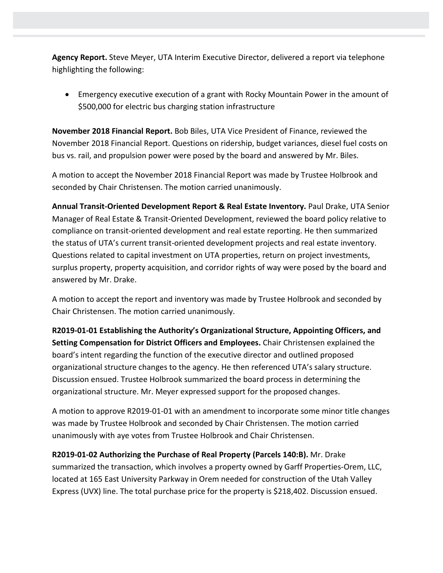**Agency Report.** Steve Meyer, UTA Interim Executive Director, delivered a report via telephone highlighting the following:

• Emergency executive execution of a grant with Rocky Mountain Power in the amount of \$500,000 for electric bus charging station infrastructure

**November 2018 Financial Report.** Bob Biles, UTA Vice President of Finance, reviewed the November 2018 Financial Report. Questions on ridership, budget variances, diesel fuel costs on bus vs. rail, and propulsion power were posed by the board and answered by Mr. Biles.

A motion to accept the November 2018 Financial Report was made by Trustee Holbrook and seconded by Chair Christensen. The motion carried unanimously.

**Annual Transit-Oriented Development Report & Real Estate Inventory.** Paul Drake, UTA Senior Manager of Real Estate & Transit-Oriented Development, reviewed the board policy relative to compliance on transit-oriented development and real estate reporting. He then summarized the status of UTA's current transit-oriented development projects and real estate inventory. Questions related to capital investment on UTA properties, return on project investments, surplus property, property acquisition, and corridor rights of way were posed by the board and answered by Mr. Drake.

A motion to accept the report and inventory was made by Trustee Holbrook and seconded by Chair Christensen. The motion carried unanimously.

**R2019-01-01 Establishing the Authority's Organizational Structure, Appointing Officers, and Setting Compensation for District Officers and Employees.** Chair Christensen explained the board's intent regarding the function of the executive director and outlined proposed organizational structure changes to the agency. He then referenced UTA's salary structure. Discussion ensued. Trustee Holbrook summarized the board process in determining the organizational structure. Mr. Meyer expressed support for the proposed changes.

A motion to approve R2019-01-01 with an amendment to incorporate some minor title changes was made by Trustee Holbrook and seconded by Chair Christensen. The motion carried unanimously with aye votes from Trustee Holbrook and Chair Christensen.

**R2019-01-02 Authorizing the Purchase of Real Property (Parcels 140:B).** Mr. Drake summarized the transaction, which involves a property owned by Garff Properties-Orem, LLC, located at 165 East University Parkway in Orem needed for construction of the Utah Valley Express (UVX) line. The total purchase price for the property is \$218,402. Discussion ensued.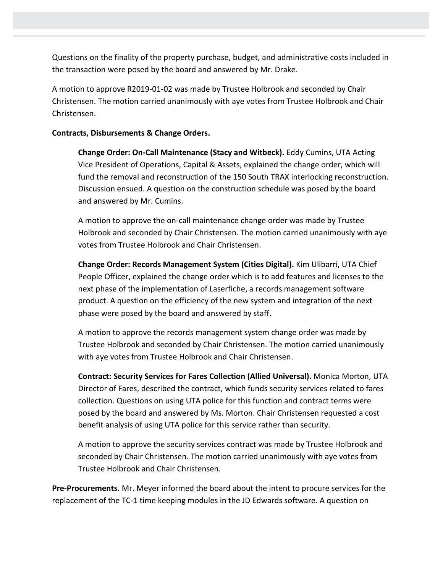Questions on the finality of the property purchase, budget, and administrative costs included in the transaction were posed by the board and answered by Mr. Drake.

A motion to approve R2019-01-02 was made by Trustee Holbrook and seconded by Chair Christensen. The motion carried unanimously with aye votes from Trustee Holbrook and Chair Christensen.

## **Contracts, Disbursements & Change Orders.**

**Change Order: On-Call Maintenance (Stacy and Witbeck).** Eddy Cumins, UTA Acting Vice President of Operations, Capital & Assets, explained the change order, which will fund the removal and reconstruction of the 150 South TRAX interlocking reconstruction. Discussion ensued. A question on the construction schedule was posed by the board and answered by Mr. Cumins.

A motion to approve the on-call maintenance change order was made by Trustee Holbrook and seconded by Chair Christensen. The motion carried unanimously with aye votes from Trustee Holbrook and Chair Christensen.

**Change Order: Records Management System (Cities Digital).** Kim Ulibarri, UTA Chief People Officer, explained the change order which is to add features and licenses to the next phase of the implementation of Laserfiche, a records management software product. A question on the efficiency of the new system and integration of the next phase were posed by the board and answered by staff.

A motion to approve the records management system change order was made by Trustee Holbrook and seconded by Chair Christensen. The motion carried unanimously with aye votes from Trustee Holbrook and Chair Christensen.

**Contract: Security Services for Fares Collection (Allied Universal).** Monica Morton, UTA Director of Fares, described the contract, which funds security services related to fares collection. Questions on using UTA police for this function and contract terms were posed by the board and answered by Ms. Morton. Chair Christensen requested a cost benefit analysis of using UTA police for this service rather than security.

A motion to approve the security services contract was made by Trustee Holbrook and seconded by Chair Christensen. The motion carried unanimously with aye votes from Trustee Holbrook and Chair Christensen.

**Pre-Procurements.** Mr. Meyer informed the board about the intent to procure services for the replacement of the TC-1 time keeping modules in the JD Edwards software. A question on